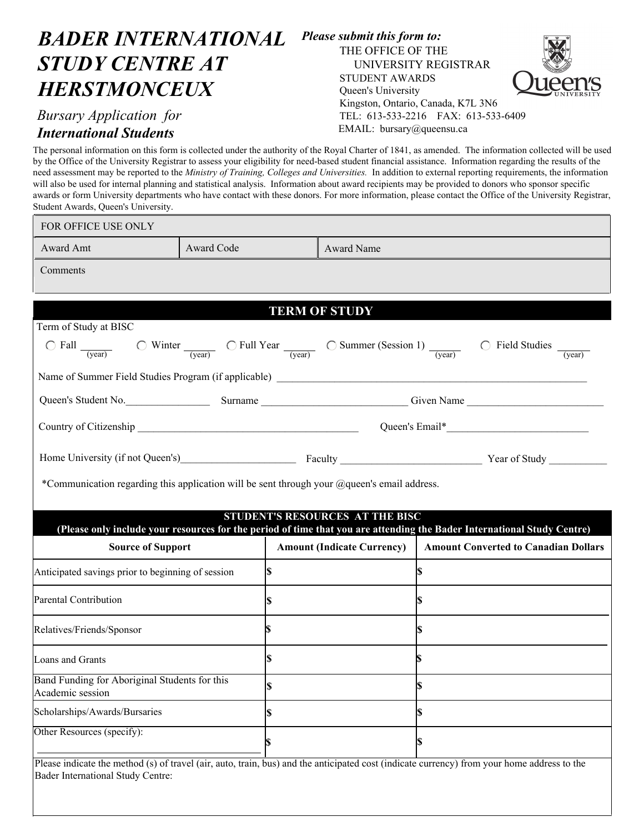## *BADER INTERNATIONAL STUDY CENTRE AT HERSTMONCEUX*

## *Bursary Application for International Students*

Bader International Study Centre:

## *Please submit this form to:*  THE OFFICE OF THE

STUDENT AWARDS Queen's University

UNIVERSITY REGISTRAR

Kingston, Ontario, Canada, K7L 3N6 TEL: 613-533-2216 FAX: 613-533-6409

EMAIL: bursary@queensu.ca



The personal information on this form is collected under the authority of the Royal Charter of 1841, as amended. The information collected will be used by the Office of the University Registrar to assess your eligibility for need-based student financial assistance. Information regarding the results of the need assessment may be reported to the *Ministry of Training, Colleges and Universities.* In addition to external reporting requirements, the information will also be used for internal planning and statistical analysis. Information about award recipients may be provided to donors who sponsor specific awards or form University departments who have contact with these donors. For more information, please contact the Office of the University Registrar, Student Awards, Queen's University.

| FOR OFFICE USE ONLY                                                                         |                          |                                   |                                                                                                                                                                                                                                                 |  |  |  |  |  |  |
|---------------------------------------------------------------------------------------------|--------------------------|-----------------------------------|-------------------------------------------------------------------------------------------------------------------------------------------------------------------------------------------------------------------------------------------------|--|--|--|--|--|--|
| Award Amt                                                                                   | Award Name<br>Award Code |                                   |                                                                                                                                                                                                                                                 |  |  |  |  |  |  |
| Comments                                                                                    |                          |                                   |                                                                                                                                                                                                                                                 |  |  |  |  |  |  |
|                                                                                             |                          |                                   |                                                                                                                                                                                                                                                 |  |  |  |  |  |  |
| <b>TERM OF STUDY</b>                                                                        |                          |                                   |                                                                                                                                                                                                                                                 |  |  |  |  |  |  |
| Term of Study at BISC                                                                       |                          |                                   |                                                                                                                                                                                                                                                 |  |  |  |  |  |  |
|                                                                                             |                          |                                   | $\bigcirc$ Fall $\frac{1}{\text{(year)}}$ $\bigcirc$ Winter $\frac{1}{\text{(year)}}$ $\bigcirc$ Full Year $\frac{1}{\text{(year)}}$ $\bigcirc$ Summer (Session 1) $\frac{1}{\text{(year)}}$ $\bigcirc$ Field Studies $\frac{1}{\text{(year)}}$ |  |  |  |  |  |  |
|                                                                                             |                          |                                   |                                                                                                                                                                                                                                                 |  |  |  |  |  |  |
| Queen's Student No. Surname Surname Surname Surname Since Name                              |                          |                                   |                                                                                                                                                                                                                                                 |  |  |  |  |  |  |
|                                                                                             |                          |                                   |                                                                                                                                                                                                                                                 |  |  |  |  |  |  |
| Home University (if not Queen's) Faculty Faculty Faculty Faculty Pear of Study              |                          |                                   |                                                                                                                                                                                                                                                 |  |  |  |  |  |  |
| *Communication regarding this application will be sent through your @queen's email address. |                          |                                   |                                                                                                                                                                                                                                                 |  |  |  |  |  |  |
|                                                                                             |                          |                                   |                                                                                                                                                                                                                                                 |  |  |  |  |  |  |
|                                                                                             |                          | STUDENT'S RESOURCES AT THE BISC   | (Please only include your resources for the period of time that you are attending the Bader International Study Centre)                                                                                                                         |  |  |  |  |  |  |
| <b>Source of Support</b>                                                                    |                          | <b>Amount (Indicate Currency)</b> | <b>Amount Converted to Canadian Dollars</b>                                                                                                                                                                                                     |  |  |  |  |  |  |
| Anticipated savings prior to beginning of session                                           | S                        |                                   | S                                                                                                                                                                                                                                               |  |  |  |  |  |  |
| Parental Contribution                                                                       | S                        |                                   | S                                                                                                                                                                                                                                               |  |  |  |  |  |  |
| Relatives/Friends/Sponsor                                                                   |                          |                                   |                                                                                                                                                                                                                                                 |  |  |  |  |  |  |
| Loans and Grants                                                                            | S                        |                                   | \$                                                                                                                                                                                                                                              |  |  |  |  |  |  |
| Band Funding for Aboriginal Students for this<br>Academic session                           | ъ                        |                                   | $\mathbb{S}$                                                                                                                                                                                                                                    |  |  |  |  |  |  |
| Scholarships/Awards/Bursaries                                                               | \$                       |                                   |                                                                                                                                                                                                                                                 |  |  |  |  |  |  |
| Other Resources (specify):                                                                  | \$                       |                                   | S                                                                                                                                                                                                                                               |  |  |  |  |  |  |
|                                                                                             |                          |                                   | Please indicate the method (s) of travel (air, auto, train, bus) and the anticipated cost (indicate currency) from your home address to the                                                                                                     |  |  |  |  |  |  |